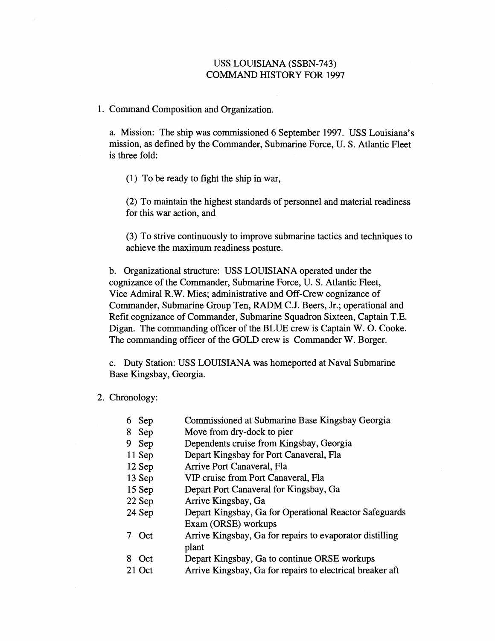## USS LOUISIANA (SSBN-743) COMMAND HISTORY FOR 1997

1. Command Composition and Organization.

a. Mission: The ship was commissioned 6 September 1997. USS Louisiana's mission, as defined by the Commander, Submarine Force, U. S. Atlantic Fleet is three fold:

(1) To be ready to fight the ship in war,

(2) To maintain the highest standards of personnel and material readiness for this war action, and

(3) To strive continuously to improve submarine tactics and techniques to achieve the maximum readiness posture.

b. Organizational structure: USS LOUISIANA operated under the cognizance of the Commander, Submarine Force, U. S. Atlantic Fleet, Vice Admiral R.W. Mies; administrative and Off-Crew cognizance of Commander, Submarine Group Ten, RADM C.J. Beers, Jr.; operational and Refit cognizance of Commander, Submarine Squadron Sixteen, Captain T.E. Digan. The commanding officer of the BLUE crew is Captain W. 0. Cooke. The commanding officer of the GOLD crew is Commander W. Borger.

c. Duty Station: USS LOUISIANA was homeported at Naval Submarine Base Kingsbay, Georgia.

2. Chronology:

|   | 6 Sep    | Commissioned at Submarine Base Kingsbay Georgia          |
|---|----------|----------------------------------------------------------|
|   | 8 Sep    | Move from dry-dock to pier                               |
|   | 9 Sep    | Dependents cruise from Kingsbay, Georgia                 |
|   | $11$ Sep | Depart Kingsbay for Port Canaveral, Fla                  |
|   | $12$ Sep | Arrive Port Canaveral, Fla                               |
|   | 13 Sep   | VIP cruise from Port Canaveral, Fla                      |
|   | $15$ Sep | Depart Port Canaveral for Kingsbay, Ga                   |
|   | 22 Sep   | Arrive Kingsbay, Ga                                      |
|   | 24 Sep   | Depart Kingsbay, Ga for Operational Reactor Safeguards   |
|   |          | Exam (ORSE) workups                                      |
|   | Oct      | Arrive Kingsbay, Ga for repairs to evaporator distilling |
|   |          | plant                                                    |
| 8 | Oct.     | Depart Kingsbay, Ga to continue ORSE workups             |

21 Oct Arrive Kingsbay, Ga for repairs to electrical breaker aft